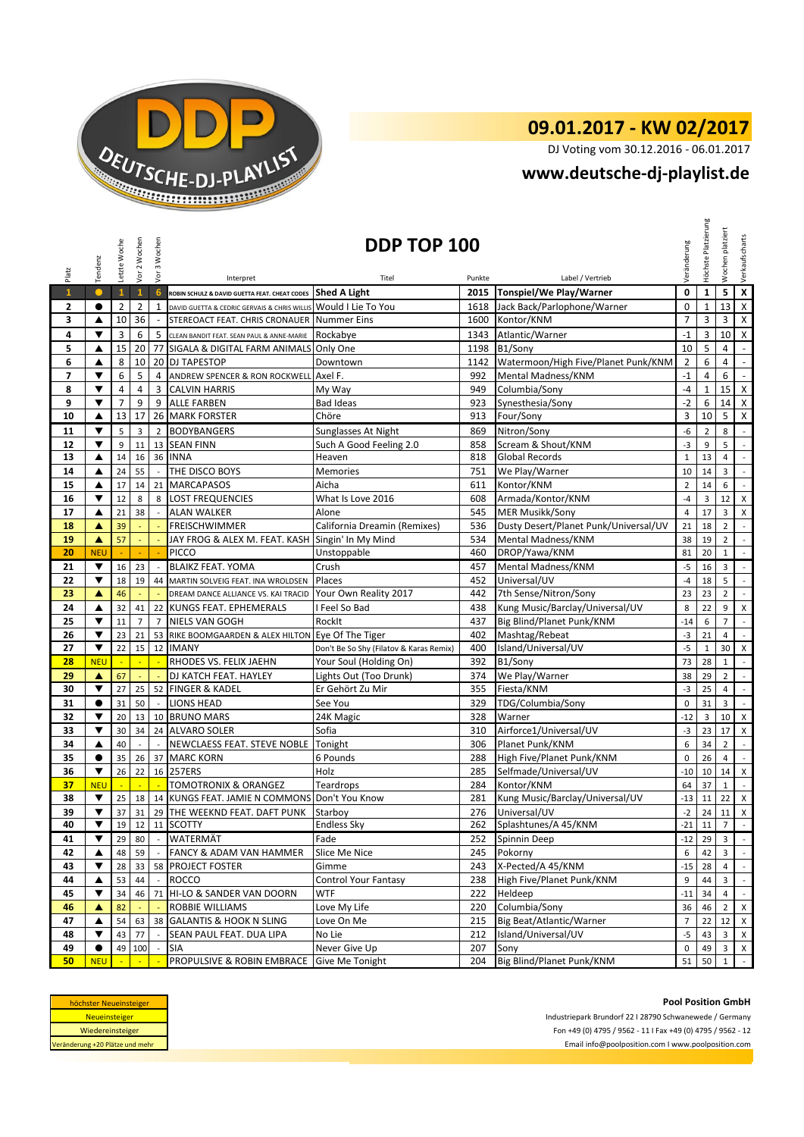

## **09.01.2017 - KW 02/2017**

DJ Voting vom 30.12.2016 - 06.01.2017

## **[w](http://www.deutsche-dj-playlist.de/)ww.deutsche-dj-playlist.de**

| Platz        | Tendenz                                                                                                                         | Letzte Woche   | Vor 2 Wochen   | Vor 3 Wochen             | Interpret                                                                                                     | DDP TOP 100<br>Titel                    | Punkte     | Label / Vertrieb                          | Veränderung    | Höchste Platzierung | platziert<br>Wochen     | Verkaufscharts              |
|--------------|---------------------------------------------------------------------------------------------------------------------------------|----------------|----------------|--------------------------|---------------------------------------------------------------------------------------------------------------|-----------------------------------------|------------|-------------------------------------------|----------------|---------------------|-------------------------|-----------------------------|
| $\mathbf{1}$ | $\bullet$                                                                                                                       | $\mathbf{1}$   | $\mathbf{1}$   | 6                        | ROBIN SCHULZ & DAVID GUETTA FEAT. CHEAT CODES Shed A Light                                                    |                                         | 2015       | Tonspiel/We Play/Warner                   | 0              | $\mathbf{1}$        | 5                       | $\pmb{\mathsf{X}}$          |
|              | $\bullet$                                                                                                                       | $\overline{2}$ | $\overline{2}$ | 1                        |                                                                                                               |                                         | 1618       |                                           | $\mathbf 0$    | $\mathbf{1}$        | 13                      | $\mathsf X$                 |
| 2<br>3       | ▲                                                                                                                               | 10             | 36             | $\overline{\phantom{a}}$ | DAVID GUETTA & CEDRIC GERVAIS & CHRIS WILLIS Would I Lie To You<br>STEREOACT FEAT. CHRIS CRONAUER Nummer Eins |                                         | 1600       | Jack Back/Parlophone/Warner<br>Kontor/KNM | $\overline{7}$ | 3                   | 3                       | X                           |
| 4            | ▼                                                                                                                               | 3              | 6              | 5                        | CLEAN BANDIT FEAT. SEAN PAUL & ANNE-MARIE                                                                     |                                         | 1343       | Atlantic/Warner                           | $-1$           | 3                   | 10                      | $\mathsf{X}$                |
| 5            | ▲                                                                                                                               | 15             | 20             |                          | 77 SIGALA & DIGITAL FARM ANIMALS Only One                                                                     | Rockabye                                | 1198       | B1/Sony                                   | 10             | 5                   | 4                       | $\overline{\phantom{a}}$    |
| 6            | ▲                                                                                                                               | 8              | 10             |                          | 20 DJ TAPESTOP                                                                                                | Downtown                                | 1142       | Watermoon/High Five/Planet Punk/KNM       | $\overline{2}$ | 6                   | 4                       | $\blacksquare$              |
| 7            | ▼                                                                                                                               | 6              | 5              |                          |                                                                                                               |                                         | 992        |                                           | $-1$           | 4                   | 6                       | $\sim$                      |
| 8            | $\overline{\mathbf{v}}$                                                                                                         | 4              | 4              | 4<br>3                   | ANDREW SPENCER & RON ROCKWELL<br><b>CALVIN HARRIS</b>                                                         | Axel F.<br>My Way                       | 949        | Mental Madness/KNM<br>Columbia/Sony       | -4             | 1                   | 15                      | $\mathsf X$                 |
| 9            | $\blacktriangledown$                                                                                                            | $\overline{7}$ | 9              | 9                        | <b>ALLE FARBEN</b>                                                                                            | <b>Bad Ideas</b>                        | 923        | Synesthesia/Sony                          | $-2$           | 6                   | 14                      | X                           |
| 10           | ▲                                                                                                                               | 13             | 17             | 26                       | <b>MARK FORSTER</b>                                                                                           | Chöre                                   | 913        | Four/Sony                                 | 3              | 10                  | 5                       | X                           |
| 11           | ▼                                                                                                                               | 5              | 3              | $\overline{2}$           | <b>BODYBANGERS</b>                                                                                            |                                         | 869        | Nitron/Sony                               | -6             | $\overline{2}$      | 8                       | $\blacksquare$              |
| 12           | ▼                                                                                                                               | 9              | 11             | 13                       | <b>SEAN FINN</b>                                                                                              | Sunglasses At Night                     | 858        | Scream & Shout/KNM                        | $-3$           | 9                   | 5                       | $\mathcal{L}$               |
| 13           | ▲                                                                                                                               | 14             | 16             | 36                       | <b>INNA</b>                                                                                                   | Such A Good Feeling 2.0<br>Heaven       | 818        | <b>Global Records</b>                     | $\mathbf{1}$   | 13                  | $\overline{4}$          | $\overline{\phantom{a}}$    |
| 14           | ▲                                                                                                                               | 24             | 55             |                          | THE DISCO BOYS                                                                                                |                                         | 751        | We Play/Warner                            | 10             | 14                  | 3                       | $\overline{\phantom{a}}$    |
| 15           |                                                                                                                                 |                |                | 21                       |                                                                                                               | Memories<br>Aicha                       |            | Kontor/KNM                                | $\overline{2}$ | 14                  | 6                       | $\blacksquare$              |
|              | ▲<br>▼                                                                                                                          | 17<br>12       | 14<br>8        | 8                        | <b>MARCAPASOS</b><br><b>LOST FREQUENCIES</b>                                                                  |                                         | 611<br>608 | Armada/Kontor/KNM                         | $-4$           |                     |                         |                             |
| 16<br>17     | ▲                                                                                                                               | 21             | 38             | $\sim$                   | <b>ALAN WALKER</b>                                                                                            | What Is Love 2016<br>Alone              | 545        | <b>MER Musikk/Sony</b>                    | $\overline{4}$ | 3<br>17             | 12<br>3                 | X<br>X                      |
| 18           | ▲                                                                                                                               | 39             |                |                          | <b>FREISCHWIMMER</b>                                                                                          | California Dreamin (Remixes)            | 536        | Dusty Desert/Planet Punk/Universal/UV     | 21             | 18                  | $\overline{2}$          | $\blacksquare$              |
| 19           | $\blacktriangle$                                                                                                                | 57             | ÷,             | ÷,                       | JAY FROG & ALEX M. FEAT. KASH Singin' In My Mind                                                              |                                         | 534        | Mental Madness/KNM                        | 38             | 19                  | $\overline{2}$          | $\overline{\phantom{a}}$    |
| 20           | <b>NEU</b>                                                                                                                      |                |                |                          | PICCO                                                                                                         | Unstoppable                             | 460        | DROP/Yawa/KNM                             | 81             | 20                  | $\mathbf{1}$            | $\mathbb{L}$                |
| 21           | ▼                                                                                                                               | 16             | 23             | $\overline{\phantom{a}}$ | <b>BLAIKZ FEAT. YOMA</b>                                                                                      | Crush                                   | 457        | Mental Madness/KNM                        | $-5$           | 16                  | 3                       | $\mathbb{Z}^{\mathbb{Z}}$   |
| 22           | ▼                                                                                                                               | 18             | 19             | 44                       | MARTIN SOLVEIG FEAT. INA WROLDSEN                                                                             | Places                                  | 452        | Universal/UV                              | $-4$           | 18                  | 5                       | $\mathbb{Z}^{\mathbb{Z}}$   |
| 23           | A                                                                                                                               | 46             | ÷              |                          | DREAM DANCE ALLIANCE VS. KAI TRACID                                                                           | Your Own Reality 2017                   | 442        | 7th Sense/Nitron/Sony                     | 23             | 23                  | $\overline{2}$          | $\mathbb{L}$                |
| 24           | ▲                                                                                                                               | 32             | 41             | 22                       | <b>KUNGS FEAT. EPHEMERALS</b>                                                                                 | I Feel So Bad                           | 438        | Kung Music/Barclay/Universal/UV           | 8              | 22                  | 9                       | X                           |
| 25           | ▼                                                                                                                               | 11             | $\overline{7}$ | $\overline{7}$           | NIELS VAN GOGH                                                                                                | RockIt                                  | 437        | Big Blind/Planet Punk/KNM                 | $-14$          | 6                   | $\overline{7}$          | $\mathcal{L}$               |
| 26           | ▼                                                                                                                               | 23             | 21             |                          | 53 RIKE BOOMGAARDEN & ALEX HILTON Eye Of The Tiger                                                            |                                         | 402        | Mashtag/Rebeat                            | $-3$           | 21                  | 4                       | $\mathcal{L}_{\mathcal{A}}$ |
| 27           | ▼                                                                                                                               | 22             | 15             | 12                       | <b>IMANY</b>                                                                                                  | Don't Be So Shy (Filatov & Karas Remix) | 400        | Island/Universal/UV                       | $-5$           | $\mathbf{1}$        | 30                      | X                           |
| 28           | <b>NEU</b>                                                                                                                      | $\blacksquare$ | $\blacksquare$ | $\blacksquare$           | RHODES VS. FELIX JAEHN                                                                                        | Your Soul (Holding On)                  | 392        | B1/Sony                                   | 73             | 28                  | $\mathbf{1}$            | $\mathbb{L}$                |
| 29           | ▲                                                                                                                               | 67             |                |                          | DJ KATCH FEAT. HAYLEY                                                                                         | Lights Out (Too Drunk)                  | 374        | We Play/Warner                            | 38             | 29                  | $\overline{2}$          | $\mathbb{L}$                |
| 30           | $\blacktriangledown$                                                                                                            | 27             | 25             | 52                       | <b>FINGER &amp; KADEL</b>                                                                                     | Er Gehört Zu Mir                        | 355        | Fiesta/KNM                                | $-3$           | 25                  | $\overline{4}$          | $\blacksquare$              |
| 31           | $\bullet$                                                                                                                       | 31             | 50             |                          | <b>LIONS HEAD</b>                                                                                             | See You                                 | 329        | TDG/Columbia/Sony                         | 0              | 31                  | 3                       | $\mathbb{Z}^{\mathbb{Z}}$   |
| 32           | ▼                                                                                                                               | 20             | 13             |                          | 10 BRUNO MARS                                                                                                 | 24K Magic                               | 328        | Warner                                    | $-12$          | 3                   | 10                      | X                           |
| 33           | $\overline{\mathbf{v}}$                                                                                                         | 30             | 34             |                          | 24 ALVARO SOLER                                                                                               | Sofia                                   | 310        | Airforce1/Universal/UV                    | $-3$           | 23                  | 17                      | X                           |
| 34           | ▲                                                                                                                               | 40             |                |                          | NEWCLAESS FEAT. STEVE NOBLE                                                                                   | Tonight                                 | 306        | Planet Punk/KNM                           | 6              | 34                  | $\overline{2}$          | $\mathcal{L}$               |
| 35           | $\bullet$                                                                                                                       | 35             | 26             | 37                       | <b>MARC KORN</b>                                                                                              | 6 Pounds                                | 288        | High Five/Planet Punk/KNM                 | $\mathbf 0$    | 26                  | $\overline{4}$          | $\overline{\phantom{a}}$    |
| 36           | $\blacktriangledown$                                                                                                            | 26             | 22             |                          | 16 257ERS                                                                                                     | Holz                                    | 285        | Selfmade/Universal/UV                     | $-10$          | 10                  | 14                      | $\boldsymbol{\mathsf{X}}$   |
| 37           | <b>NEU</b>                                                                                                                      |                |                | $\mathbb{Z}$             | <b>TOMOTRONIX &amp; ORANGEZ</b>                                                                               | Teardrops                               | 284        | Kontor/KNM                                | 64             | 37                  | $\mathbf 1$             | $\mathcal{L}$               |
| 38           | ▼                                                                                                                               | 25             | 18             | 14                       | KUNGS FEAT. JAMIE N COMMONS Don't You Know                                                                    |                                         | 281        | Kung Music/Barclay/Universal/UV           | $-13$          | 11                  | 22                      | X                           |
| 39           | $\blacktriangledown$                                                                                                            | 37             | 31             |                          | 29 THE WEEKND FEAT. DAFT PUNK                                                                                 | Starboy                                 | 276        | Universal/UV                              | $-2$           | 24                  | 11                      | X                           |
| 40           | ▼                                                                                                                               | 19             |                |                          | 12 11 SCOTTY                                                                                                  | <b>Endless Sky</b>                      |            | 262 Splashtunes/A 45/KNM                  |                | $-21$ 11            | $\overline{7}$          |                             |
| 41           | ▼                                                                                                                               | 29             | 80             | $\mathbb{Z}^2$           | WATERMÄT                                                                                                      | Fade                                    | 252        | Spinnin Deep                              | $-12$          | 29                  | $\overline{3}$          | $\sim$                      |
| 42           |                                                                                                                                 | 48             | 59             |                          | FANCY & ADAM VAN HAMMER                                                                                       | Slice Me Nice                           | 245        | Pokorny                                   | 6              | 42                  | 3                       | $\sim$                      |
| 43           | ▼                                                                                                                               | 28             | 33             |                          | 58 PROJECT FOSTER                                                                                             | Gimme                                   | 243        | X-Pected/A 45/KNM                         | $-15$          | 28                  | $\overline{4}$          | $\mathbb{Z}^{\mathbb{Z}}$   |
| 44           | ▲                                                                                                                               | 53             | 44             | $\blacksquare$           | <b>ROCCO</b>                                                                                                  | Control Your Fantasy                    | 238        | High Five/Planet Punk/KNM                 | 9              | 44                  | $\overline{\mathbf{3}}$ | $\mathcal{L}^{\pm}$         |
| 45           | ▼                                                                                                                               | 34             | 46             | 71                       | HI-LO & SANDER VAN DOORN                                                                                      | WTF                                     | 222        | Heldeep                                   | $-11$          | 34                  | 4                       | $\sim$                      |
| 46           | ▲                                                                                                                               | 82             |                |                          | ROBBIE WILLIAMS                                                                                               | Love My Life                            | 220        | Columbia/Sony                             | 36             | 46                  | $\overline{2}$          | $\times$                    |
| 47           | ▲                                                                                                                               | 54             | 63             | 38                       | <b>GALANTIS &amp; HOOK N SLING</b>                                                                            | Love On Me                              | 215        | Big Beat/Atlantic/Warner                  | $\overline{7}$ | 22                  | 12 <sup>1</sup>         | X                           |
| 48           | ▼                                                                                                                               | 43             | 77             |                          | SEAN PAUL FEAT. DUA LIPA                                                                                      | No Lie                                  | 212        | Island/Universal/UV                       | $-5$           | 43                  | 3 <sup>1</sup>          | X                           |
| 49           |                                                                                                                                 | 49             | 100            |                          | <b>SIA</b>                                                                                                    | Never Give Up                           | 207        | Sony                                      | 0              | 49                  | $\mathbf{3}$            | $\mathsf X$                 |
| 50           | <b>NEU</b>                                                                                                                      | $\blacksquare$ | $\mathbb{Z}^2$ |                          | PROPULSIVE & ROBIN EMBRACE                                                                                    | Give Me Tonight                         | 204        | Big Blind/Planet Punk/KNM                 | 51             | 50 <sub>1</sub>     | $\mathbf{1}$            | $\mathbb{Z}^{\mathbb{Z}}$   |
|              | <b>Pool Position GmbH</b><br>höchster Neueinsteiger<br>Neueinsteiger<br>Industriepark Brundorf 22 I 28790 Schwanewede / Germany |                |                |                          |                                                                                                               |                                         |            |                                           |                |                     |                         |                             |

| höchster Neueinsteiger          |
|---------------------------------|
| <b>Neueinsteiger</b>            |
| Wiedereinsteiger                |
| Veränderung +20 Plätze und mehr |

**Pool Position GmbH**<br>Industriepark Brundorf 22 I 28790 Schwanewede / Germany Pool Position GmbH<br>Industriepark Brundorf 22 I 28790 Schwanewede / Germany<br>Fon +49 (0) 4795 / 9562 - 11 I Fax +49 (0) 4795 / 9562 - 12<br>Email info@poolposition.com I www.poolposition.com Email info@poolposition.com I www.poolposition.com